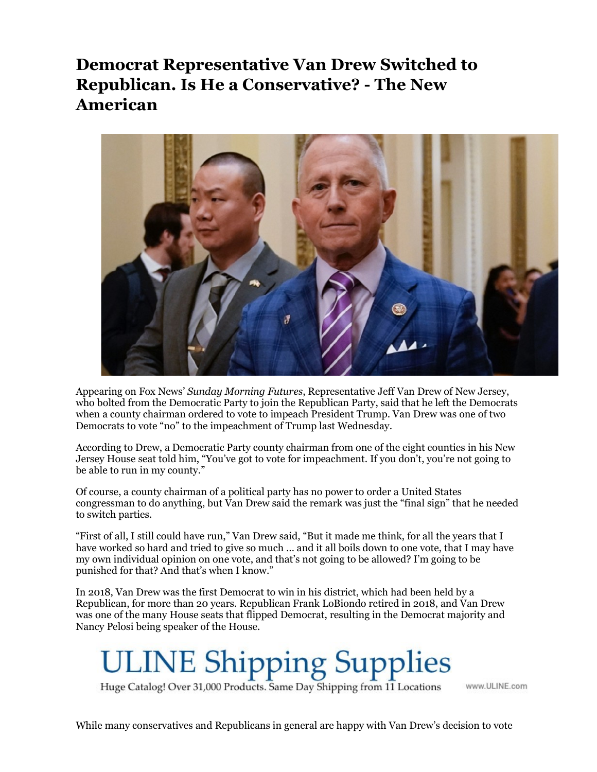## Democrat Representative Van Drew Switched to Republican. Is He a Conservative? - The New American



Appearing on Fox News' Sunday Morning Futures, Representative Jeff Van Drew of New Jersey, who bolted from the Democratic Party to join the Republican Party, said that he left the Democrats when a county chairman ordered to vote to impeach President Trump. Van Drew was one of two Democrats to vote "no" to the impeachment of Trump last Wednesday.

According to Drew, a Democratic Party county chairman from one of the eight counties in his New Jersey House seat told him, "You've got to vote for impeachment. If you don't, you're not going to be able to run in my county."

Of course, a county chairman of a political party has no power to order a United States congressman to do anything, but Van Drew said the remark was just the "final sign" that he needed to switch parties.

"First of all, I still could have run," Van Drew said, "But it made me think, for all the years that I have worked so hard and tried to give so much … and it all boils down to one vote, that I may have my own individual opinion on one vote, and that's not going to be allowed? I'm going to be punished for that? And that's when I know."

In 2018, Van Drew was the first Democrat to win in his district, which had been held by a Republican, for more than 20 years. Republican Frank LoBiondo retired in 2018, and Van Drew was one of the many House seats that flipped Democrat, resulting in the Democrat majority and Nancy Pelosi being speaker of the House.

**JLINE Shipping Supplies** 

Huge Catalog! Over 31,000 Products. Same Day Shipping from 11 Locations

www.ULINE.com